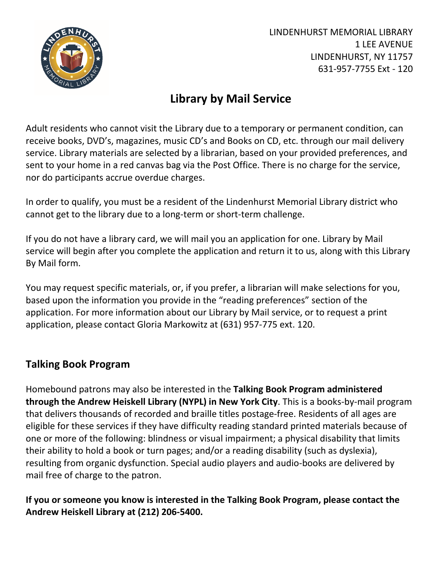

LINDENHURST MEMORIAL LIBRARY 1 LEE AVENUE LINDENHURST, NY 11757 631-957-7755 Ext - 120

## **Library by Mail Service**

Adult residents who cannot visit the Library due to a temporary or permanent condition, can receive books, DVD's, magazines, music CD's and Books on CD, etc. through our mail delivery service. Library materials are selected by a librarian, based on your provided preferences, and sent to your home in a red canvas bag via the Post Office. There is no charge for the service, nor do participants accrue overdue charges.

In order to qualify, you must be a resident of the Lindenhurst Memorial Library district who cannot get to the library due to a long-term or short-term challenge.

If you do not have a library card, we will mail you an application for one. Library by Mail service will begin after you complete the application and return it to us, along with this Library By Mail form.

You may request specific materials, or, if you prefer, a librarian will make selections for you, based upon the information you provide in the "reading preferences" section of the application. For more information about our Library by Mail service, or to request a print application, please contact Gloria Markowitz at (631) 957-775 ext. 120.

## **Talking Book Program**

Homebound patrons may also be interested in the **Talking Book Program administered through the Andrew Heiskell Library (NYPL) in New York City**. This is a books-by-mail program that delivers thousands of recorded and braille titles postage-free. Residents of all ages are eligible for these services if they have difficulty reading standard printed materials because of one or more of the following: blindness or visual impairment; a physical disability that limits their ability to hold a book or turn pages; and/or a reading disability (such as dyslexia), resulting from organic dysfunction. Special audio players and audio-books are delivered by mail free of charge to the patron.

## **If you or someone you know is interested in the Talking Book Program, please contact the Andrew Heiskell Library at (212) 206-5400.**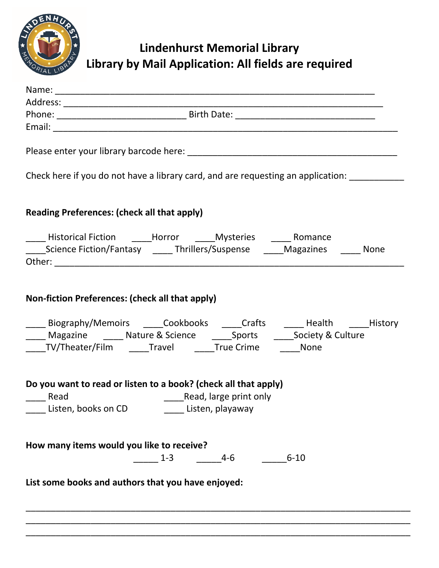

## **Lindenhurst Memorial Library Library by Mail Application: All fields are required**

| Check here if you do not have a library card, and are requesting an application:                                                                                                                                                                                                 |
|----------------------------------------------------------------------------------------------------------------------------------------------------------------------------------------------------------------------------------------------------------------------------------|
| <b>Reading Preferences: (check all that apply)</b>                                                                                                                                                                                                                               |
| _______Science Fiction/Fantasy ___________Thrillers/Suspense _______Magazines ________ None                                                                                                                                                                                      |
| Non-fiction Preferences: (check all that apply)<br>____ Biography/Memoirs _____Cookbooks _____Crafts ______ Health _____History<br>____ Magazine _____ Nature & Science ______ Sports ______ Society & Culture<br>_____TV/Theater/Film ______Travel ______True Crime _______None |
| Do you want to read or listen to a book? (check all that apply)<br>Read, large print only<br>$\frac{1}{\sqrt{1-\frac{1}{2}}}$ Read<br>Listen, books on CD Listen, playaway                                                                                                       |
| How many items would you like to receive?<br>$6 - 10$<br>4-6<br>$1 - 3$                                                                                                                                                                                                          |
| List some books and authors that you have enjoyed:                                                                                                                                                                                                                               |
|                                                                                                                                                                                                                                                                                  |

\_\_\_\_\_\_\_\_\_\_\_\_\_\_\_\_\_\_\_\_\_\_\_\_\_\_\_\_\_\_\_\_\_\_\_\_\_\_\_\_\_\_\_\_\_\_\_\_\_\_\_\_\_\_\_\_\_\_\_\_\_\_\_\_\_\_\_\_\_\_\_\_\_\_\_\_\_ \_\_\_\_\_\_\_\_\_\_\_\_\_\_\_\_\_\_\_\_\_\_\_\_\_\_\_\_\_\_\_\_\_\_\_\_\_\_\_\_\_\_\_\_\_\_\_\_\_\_\_\_\_\_\_\_\_\_\_\_\_\_\_\_\_\_\_\_\_\_\_\_\_\_\_\_\_